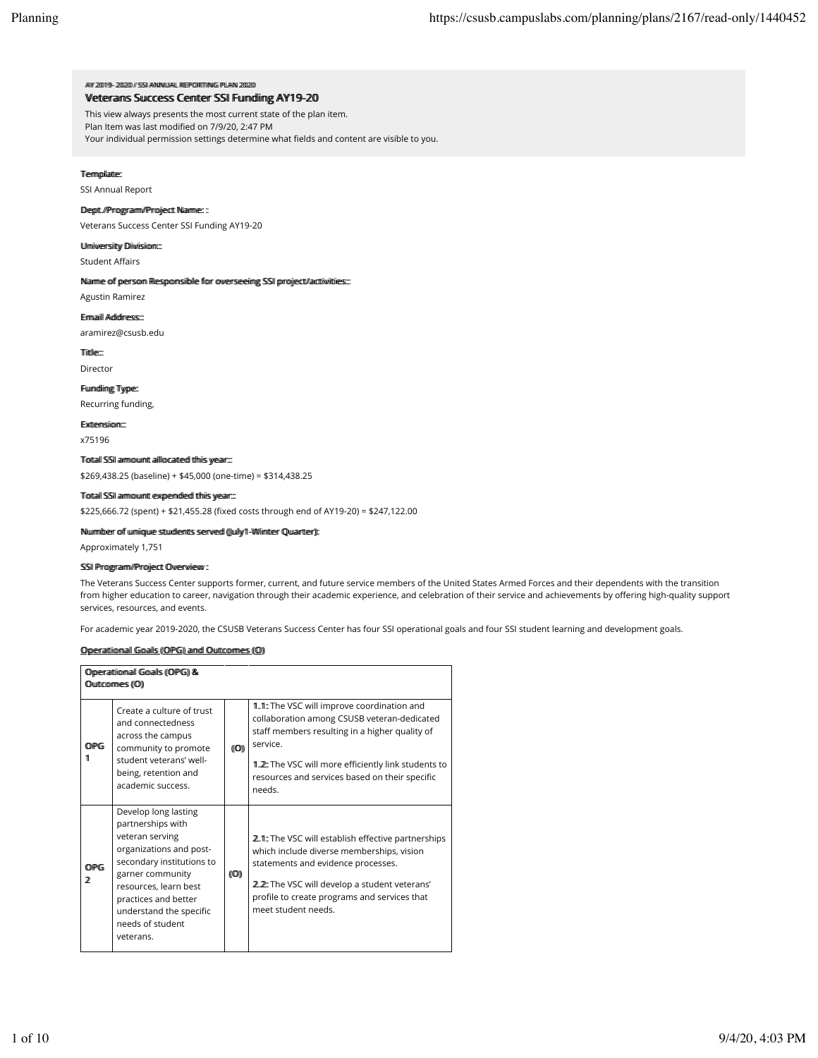### AAYY 220019-200220 // SSSI AANNNUUAALL REEPPORTTIINKG PPLAANN 220 Vetteranns Suuccess Centter SSI Fundding AY19-20

This view always presents the most current state of the plan item.

Plan Item was last modified on 7/9/20, 2:47 PM

Your individual permission settings determine what fields and content are visible to you.

## Termpllatte:

SSI Annual Report

## Deptt.//Prroggraamm//Prrojjectt Naammee::

Veterans Success Center SSI Funding AY19-20

## Ulmiiwerrsiitty Diiwiisiiom:::

Student Affairs

### Naamme ooff peersoom Reespoonsiiblle ffoor ooverseeiingg SSII pprojjectt/acttiiviittiess:::

Agustin Ramirez

## Eimmaiill Adddiress:

aramirez@csusb.edu

Tiittle:::

Director

## Fuumdliimgg Tyype::

Recurring funding,

EExxtteennssiioonn::::

x75196

## Toottaall SSII aarmoouumtt aallloocaatteed tthiis yeeaar.::

\$269,438.25 (baseline) + \$45,000 (one-time) = \$314,438.25

## Toottaall SSII aarmoouumtt eexpeendleed tthhiis yeearr::::

\$225,666.72 (spent) + \$21,455.28 (fixed costs through end of AY19-20) = \$247,122.00

#### Nuummibeer off uuniiquue sttuudkemtts seerwed ((Juully/11-WWiimtteer Quuantteer)):

Approximately 1,751

## SSII Prroggraamm//Prrojjectt Ovverrviieww ::

The Veterans Success Center supports former, current, and future service members of the United States Armed Forces and their dependents with the transition from higher education to career, navigation through their academic experience, and celebration of their service and achievements by offering high-quality support services, resources, and events.

For academic year 2019-2020, the CSUSB Veterans Success Center has four SSI operational goals and four SSI student learning and development goals.

## Opperraattiionnaall Gooalls ((OPG)) annd Ouuttcommes ((O))

| Operattional Goalls (OPG) &<br>Outcommes ((O)) |                                                                                                                                                                                                                                                       |                      |                                                                                                                                                                                                                                                                            |  |
|------------------------------------------------|-------------------------------------------------------------------------------------------------------------------------------------------------------------------------------------------------------------------------------------------------------|----------------------|----------------------------------------------------------------------------------------------------------------------------------------------------------------------------------------------------------------------------------------------------------------------------|--|
| <b>OPG</b><br>11                               | Create a culture of trust<br>and connectedness<br>across the campus<br>community to promote<br>student veterans' well-<br>being, retention and<br>academic success.                                                                                   | (10)                 | 1.1: The VSC will improve coordination and<br>collaboration among CSUSB veteran-dedicated<br>staff members resulting in a higher quality of<br>service.<br>1 2: The VSC will more efficiently link students to<br>resources and services based on their specific<br>needs. |  |
| <b>OPG</b><br>2                                | Develop long lasting<br>partnerships with<br>veteran serving<br>organizations and post-<br>secondary institutions to<br>garner community<br>resources, learn best<br>practices and better<br>understand the specific<br>needs of student<br>veterans. | $(\!(\mathbb{O})\!)$ | 2.1: The VSC will establish effective partnerships<br>which include diverse memberships, vision<br>statements and evidence processes.<br>2.2: The VSC will develop a student veterans'<br>profile to create programs and services that<br>meet student needs.              |  |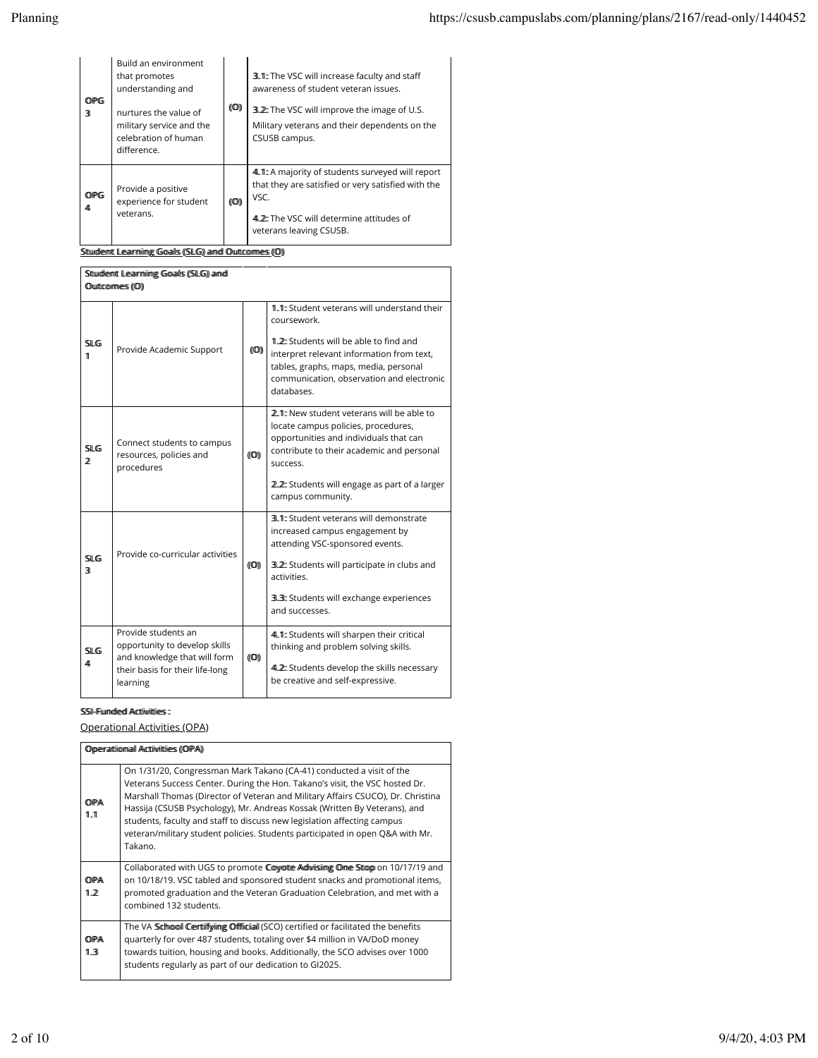| <b>OPG</b><br>3  | Build an environment<br>that promotes<br>understanding and<br>nurtures the value of<br>military service and the<br>celebration of human<br>difference. | $(\!(\mathbb{O})\!)$ | 3.1: The VSC will increase faculty and staff<br>awareness of student veteran issues.<br>3.2. The VSC will improve the image of U.S.<br>Military veterans and their dependents on the<br>CSUSB campus. |
|------------------|--------------------------------------------------------------------------------------------------------------------------------------------------------|----------------------|-------------------------------------------------------------------------------------------------------------------------------------------------------------------------------------------------------|
| <b>OPG</b><br>41 | Provide a positive<br>experience for student<br>veterans.                                                                                              | (10)                 | 4.1. A majority of students surveyed will report<br>that they are satisfied or very satisfied with the<br>VSC.<br>4.2: The VSC will determine attitudes of<br>veterans leaving CSUSB.                 |

Sttuudleentt Leaarrniimgg Goaalls (SLG) aand Outtcommes (O)

| Sttuidlemt Learmiimg Goalls ((SLG) aimd      |                                                                                                                                     |                |                                                                                                                                                                                                                                                          |  |  |
|----------------------------------------------|-------------------------------------------------------------------------------------------------------------------------------------|----------------|----------------------------------------------------------------------------------------------------------------------------------------------------------------------------------------------------------------------------------------------------------|--|--|
| Outcommes ((O))                              |                                                                                                                                     |                |                                                                                                                                                                                                                                                          |  |  |
| $\mathbb{S}$ ll G<br>11                      | Provide Academic Support                                                                                                            | $(\mathbb{O})$ | 1.1: Student veterans will understand their<br>coursework.<br>1.2: Students will be able to find and<br>interpret relevant information from text,<br>tables, graphs, maps, media, personal<br>communication, observation and electronic<br>databases     |  |  |
| SI G<br>2                                    | Connect students to campus<br>resources, policies and<br>procedures                                                                 | (100)          | 2.1: New student veterans will be able to<br>locate campus policies, procedures,<br>opportunities and individuals that can<br>contribute to their academic and personal<br>SUCCASS<br>2.2: Students will engage as part of a larger<br>campus community. |  |  |
| $\mathbb{S}$ ll G<br>$\overline{\mathbf{R}}$ | Provide co-curricular activities                                                                                                    | (10)           | 3.1: Student veterans will demonstrate<br>increased campus engagement by<br>attending VSC-sponsored events.<br>3.2: Students will participate in clubs and<br>activities<br>3.3: Students will exchange experiences<br>and successes.                    |  |  |
| <b>SILG</b><br>41                            | Provide students an<br>opportunity to develop skills<br>and knowledge that will form<br>their basis for their life-long<br>learning | $(\mathbb{O})$ | 4.1: Students will sharpen their critical<br>thinking and problem solving skills.<br>4.2: Students develop the skills necessary<br>be creative and self-expressive.                                                                                      |  |  |

## SSI-Fuumdledd Accttiiviittiies:

Operational Activities (OPA)

| Opperrattion all Acttivitties ((OPA)) |                                                                                                                                                                                                                                                                                                                                                                                                                                                                                            |  |  |
|---------------------------------------|--------------------------------------------------------------------------------------------------------------------------------------------------------------------------------------------------------------------------------------------------------------------------------------------------------------------------------------------------------------------------------------------------------------------------------------------------------------------------------------------|--|--|
| OPA<br>11.1                           | On 1/31/20, Congressman Mark Takano (CA-41) conducted a visit of the<br>Veterans Success Center. During the Hon. Takano's visit, the VSC hosted Dr.<br>Marshall Thomas (Director of Veteran and Military Affairs CSUCO), Dr. Christina<br>Hassija (CSUSB Psychology), Mr. Andreas Kossak (Written By Veterans), and<br>students, faculty and staff to discuss new legislation affecting campus<br>veteran/military student policies. Students participated in open Q&A with Mr.<br>Takano. |  |  |
| OPA<br>1.2                            | Collaborated with UGS to promote Coyotte Adwising Ome Stop on 10/17/19 and<br>on 10/18/19. VSC tabled and sponsored student snacks and promotional items,<br>promoted graduation and the Veteran Graduation Celebration, and met with a<br>combined 132 students.                                                                                                                                                                                                                          |  |  |
| OPA<br>1.3                            | The VA Schopol Certuiffying Offficial (SCO) certified or facilitated the benefits<br>guarterly for over 487 students, totaling over \$4 million in VA/DoD money<br>towards tuition, housing and books. Additionally, the SCO advises over 1000<br>students regularly as part of our dedication to GI2025.                                                                                                                                                                                  |  |  |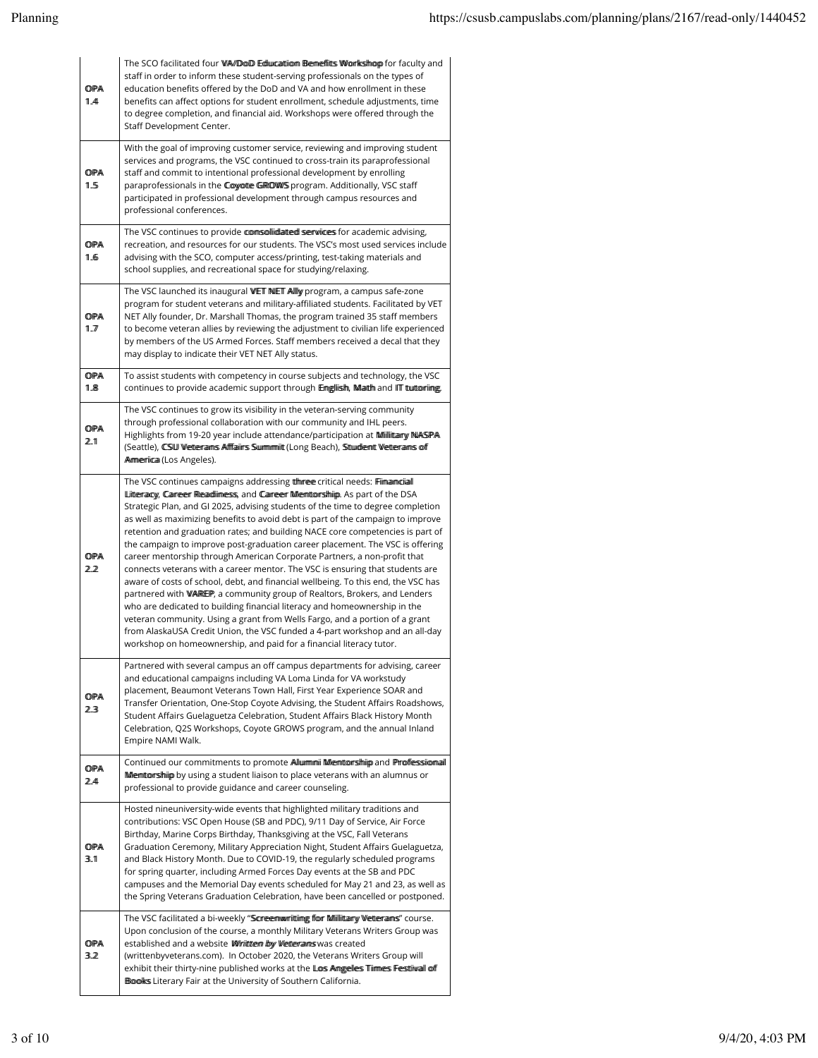| OPA<br>11.44      | The SCO facilitated four WA/DoD Education Benefits Workshop for faculty and<br>staff in order to inform these student-serving professionals on the types of<br>education benefits offered by the DoD and VA and how enrollment in these<br>benefits can affect options for student enrollment, schedule adjustments, time<br>to degree completion, and financial aid. Workshops were offered through the<br>Staff Development Center.                                                                                                                                                                                                                                                                                                                                                                                                                                                                                                                                                                                                                                                                                                              |
|-------------------|----------------------------------------------------------------------------------------------------------------------------------------------------------------------------------------------------------------------------------------------------------------------------------------------------------------------------------------------------------------------------------------------------------------------------------------------------------------------------------------------------------------------------------------------------------------------------------------------------------------------------------------------------------------------------------------------------------------------------------------------------------------------------------------------------------------------------------------------------------------------------------------------------------------------------------------------------------------------------------------------------------------------------------------------------------------------------------------------------------------------------------------------------|
| OPA<br>1.5        | With the goal of improving customer service, reviewing and improving student<br>services and programs, the VSC continued to cross-train its paraprofessional<br>staff and commit to intentional professional development by enrolling<br>paraprofessionals in the Coyote GROWS program. Additionally, VSC staff<br>participated in professional development through campus resources and<br>professional conferences.                                                                                                                                                                                                                                                                                                                                                                                                                                                                                                                                                                                                                                                                                                                              |
| OPA<br>1.6        | The VSC continues to provide comsollidated services for academic advising,<br>recreation, and resources for our students. The VSC's most used services include<br>advising with the SCO, computer access/printing, test-taking materials and<br>school supplies, and recreational space for studying/relaxing.                                                                                                                                                                                                                                                                                                                                                                                                                                                                                                                                                                                                                                                                                                                                                                                                                                     |
| <b>OPA</b><br>1.7 | The VSC launched its inaugural WET NET Allly program, a campus safe-zone<br>program for student veterans and military-affiliated students. Facilitated by VET<br>NET Ally founder, Dr. Marshall Thomas, the program trained 35 staff members<br>to become veteran allies by reviewing the adjustment to civilian life experienced<br>by members of the US Armed Forces. Staff members received a decal that they<br>may display to indicate their VET NET Ally status.                                                                                                                                                                                                                                                                                                                                                                                                                                                                                                                                                                                                                                                                             |
| OPA<br>1.8        | To assist students with competency in course subjects and technology, the VSC<br>continues to provide academic support through Emgliish, Math and ITT tuttoring.                                                                                                                                                                                                                                                                                                                                                                                                                                                                                                                                                                                                                                                                                                                                                                                                                                                                                                                                                                                   |
| OPA<br>2.1        | The VSC continues to grow its visibility in the veteran-serving community<br>through professional collaboration with our community and IHL peers.<br>Highlights from 19-20 year include attendance/participation at Miillittary NASPA<br>(Seattle), CSW Wetterrains Afffaiirs Summimit (Long Beach), Stuident Wetterrains of<br>Armerica (Los Angeles).                                                                                                                                                                                                                                                                                                                                                                                                                                                                                                                                                                                                                                                                                                                                                                                            |
| <b>OPA</b><br>2.2 | The VSC continues campaigns addressing the meet critical needs: Filmannicial<br>Litteracy, Career Readlimess, and Career Memtorship. As part of the DSA<br>Strategic Plan, and GI 2025, advising students of the time to degree completion<br>as well as maximizing benefits to avoid debt is part of the campaign to improve<br>retention and graduation rates; and building NACE core competencies is part of<br>the campaign to improve post-graduation career placement. The VSC is offering<br>career mentorship through American Corporate Partners, a non-profit that<br>connects veterans with a career mentor. The VSC is ensuring that students are<br>aware of costs of school, debt, and financial wellbeing. To this end, the VSC has<br>partnered with WAREP, a community group of Realtors, Brokers, and Lenders<br>who are dedicated to building financial literacy and homeownership in the<br>veteran community. Using a grant from Wells Fargo, and a portion of a grant<br>from AlaskaUSA Credit Union, the VSC funded a 4-part workshop and an all-day<br>workshop on homeownership, and paid for a financial literacy tutor. |
| OPA<br>2.3        | Partnered with several campus an off campus departments for advising, career<br>and educational campaigns including VA Loma Linda for VA workstudy<br>placement, Beaumont Veterans Town Hall, First Year Experience SOAR and<br>Transfer Orientation, One-Stop Coyote Advising, the Student Affairs Roadshows,<br>Student Affairs Guelaguetza Celebration, Student Affairs Black History Month<br>Celebration, Q2S Workshops, Coyote GROWS program, and the annual Inland<br>Empire NAMI Walk.                                                                                                                                                                                                                                                                                                                                                                                                                                                                                                                                                                                                                                                     |
| <b>OPA</b><br>2.4 | Continued our commitments to promote Allumminii Menturantiniip and Proffessional<br>Memttors hip by using a student liaison to place veterans with an alumnus or<br>professional to provide guidance and career counseling.                                                                                                                                                                                                                                                                                                                                                                                                                                                                                                                                                                                                                                                                                                                                                                                                                                                                                                                        |
| <b>OPA</b><br>3.1 | Hosted nineuniversity-wide events that highlighted military traditions and<br>contributions: VSC Open House (SB and PDC), 9/11 Day of Service, Air Force<br>Birthday, Marine Corps Birthday, Thanksgiving at the VSC, Fall Veterans<br>Graduation Ceremony, Military Appreciation Night, Student Affairs Guelaguetza,<br>and Black History Month. Due to COVID-19, the regularly scheduled programs<br>for spring quarter, including Armed Forces Day events at the SB and PDC<br>campuses and the Memorial Day events scheduled for May 21 and 23, as well as<br>the Spring Veterans Graduation Celebration, have been cancelled or postponed.                                                                                                                                                                                                                                                                                                                                                                                                                                                                                                    |
| <b>OPA</b><br>3.2 | The VSC facilitated a bi-weekly "Scoreenwwritting for Millitary Wetterans" course.<br>Upon conclusion of the course, a monthly Military Veterans Writers Group was<br>established and a website Wirittern by Wetterraims was created<br>(writtenbyveterans.com). In October 2020, the Veterans Writers Group will<br>exhibit their thirty-nine published works at the Loss Amgelles Timmes Festiwall off<br>Books Literary Fair at the University of Southern California.                                                                                                                                                                                                                                                                                                                                                                                                                                                                                                                                                                                                                                                                          |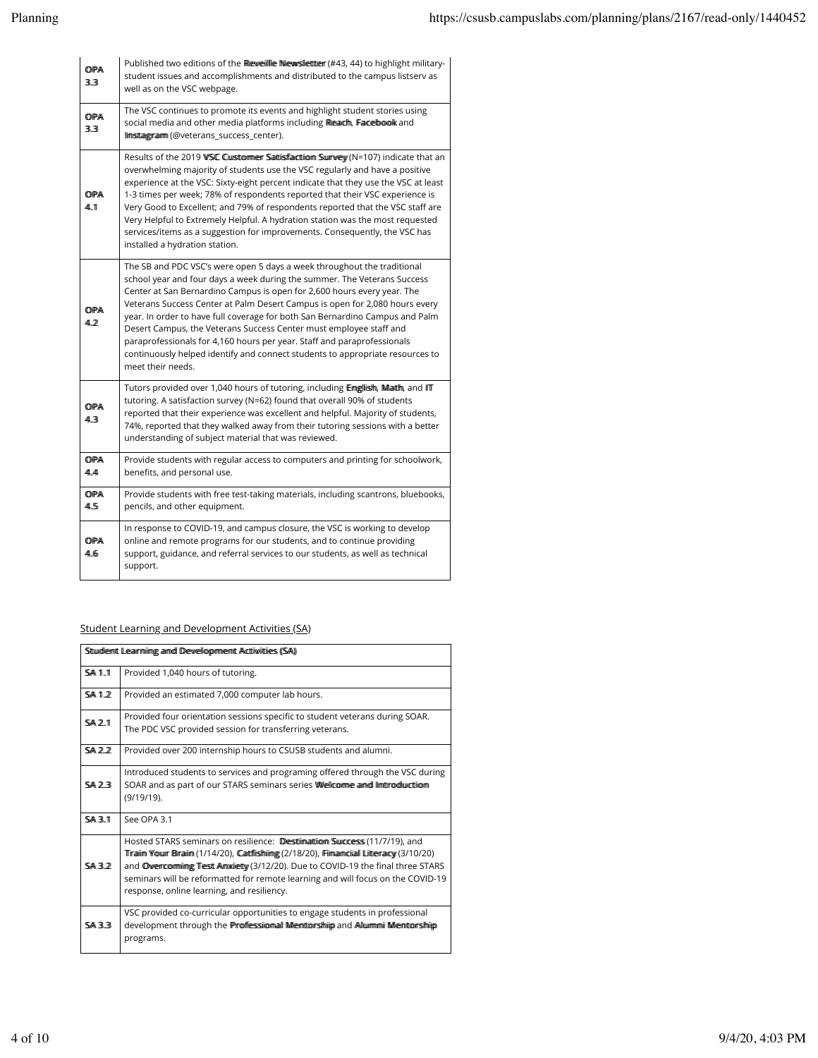| OPA<br>33         | Published two editions of the Reweille Newsletter (#43, 44) to highlight military-<br>student issues and accomplishments and distributed to the campus listserv as<br>well as on the VSC webpage.                                                                                                                                                                                                                                                                                                                                                                                                                                                    |
|-------------------|------------------------------------------------------------------------------------------------------------------------------------------------------------------------------------------------------------------------------------------------------------------------------------------------------------------------------------------------------------------------------------------------------------------------------------------------------------------------------------------------------------------------------------------------------------------------------------------------------------------------------------------------------|
| <b>OPA</b><br>3.3 | The VSC continues to promote its events and highlight student stories using<br>social media and other media platforms including Readh, Facebook and<br>Ilmstaggramm (@veterans_success_center).                                                                                                                                                                                                                                                                                                                                                                                                                                                      |
| OPA<br>44.11      | Results of the 2019 WSC Cuistommer Sattisfaction Survey (N=107) indicate that an<br>overwhelming majority of students use the VSC regularly and have a positive<br>experience at the VSC: Sixty-eight percent indicate that they use the VSC at least<br>1-3 times per week; 78% of respondents reported that their VSC experience is<br>Very Good to Excellent; and 79% of respondents reported that the VSC staff are<br>Very Helpful to Extremely Helpful. A hydration station was the most requested<br>services/items as a suggestion for improvements. Consequently, the VSC has<br>installed a hydration station.                             |
| OPA<br>42         | The SB and PDC VSC's were open 5 days a week throughout the traditional<br>school year and four days a week during the summer. The Veterans Success<br>Center at San Bernardino Campus is open for 2,600 hours every year. The<br>Veterans Success Center at Palm Desert Campus is open for 2,080 hours every<br>year. In order to have full coverage for both San Bernardino Campus and Palm<br>Desert Campus, the Veterans Success Center must employee staff and<br>paraprofessionals for 4,160 hours per year. Staff and paraprofessionals<br>continuously helped identify and connect students to appropriate resources to<br>meet their needs. |
| OPA<br>41.3       | Tutors provided over 1,040 hours of tutoring, including Emglish, Matth, and ITT<br>tutoring. A satisfaction survey (N=62) found that overall 90% of students<br>reported that their experience was excellent and helpful. Majority of students,<br>74%, reported that they walked away from their tutoring sessions with a better<br>understanding of subject material that was reviewed.                                                                                                                                                                                                                                                            |
| OPA<br>44.44      | Provide students with regular access to computers and printing for schoolwork,<br>benefits, and personal use.                                                                                                                                                                                                                                                                                                                                                                                                                                                                                                                                        |
| OPA<br>4.5        | Provide students with free test-taking materials, including scantrons, bluebooks,<br>pencils, and other equipment.                                                                                                                                                                                                                                                                                                                                                                                                                                                                                                                                   |
| OPA<br>41.65      | In response to COVID-19, and campus closure, the VSC is working to develop<br>online and remote programs for our students, and to continue providing<br>support, guidance, and referral services to our students, as well as technical<br>support.                                                                                                                                                                                                                                                                                                                                                                                                   |

# Student Learning and Development Activities (SA)

|               | Sttuidemt Learmiing and Development Actiiviities (SA)                                                                                                                                                                                                                                                                                                                                |
|---------------|--------------------------------------------------------------------------------------------------------------------------------------------------------------------------------------------------------------------------------------------------------------------------------------------------------------------------------------------------------------------------------------|
| <b>SA 1.1</b> | Provided 1,040 hours of tutoring.                                                                                                                                                                                                                                                                                                                                                    |
| <b>SA12</b>   | Provided an estimated 7,000 computer lab hours.                                                                                                                                                                                                                                                                                                                                      |
| <b>SA 2.1</b> | Provided four orientation sessions specific to student veterans during SOAR.<br>The PDC VSC provided session for transferring veterans.                                                                                                                                                                                                                                              |
| <b>SA 2.2</b> | Provided over 200 internship hours to CSUSB students and alumni.                                                                                                                                                                                                                                                                                                                     |
| <b>SA 23</b>  | Introduced students to services and programing offered through the VSC during<br>SOAR and as part of our STARS seminars series Wellcomme and limbrodiunction<br>$(9/19/19)$ .                                                                                                                                                                                                        |
| <b>SA 3.1</b> | See OPA 3.1                                                                                                                                                                                                                                                                                                                                                                          |
| SAZ           | Hosted STARS seminars on resilience: Destimation Success (11/7/19), and<br>Tiraiim Your Braiim (1/14/20), Cattflishiimg (2/18/20), Fiimamciall Litteracy (3/10/20)<br>and Owercomming Test Amxiety (3/12/20). Due to COVID-19 the final three STARS<br>seminars will be reformatted for remote learning and will focus on the COVID-19<br>response, online learning, and resiliency. |
| <b>SA33</b>   | VSC provided co-curricular opportunities to engage students in professional<br>development through the Proffessional Mentorship and Allummi Mentorship<br>programs.                                                                                                                                                                                                                  |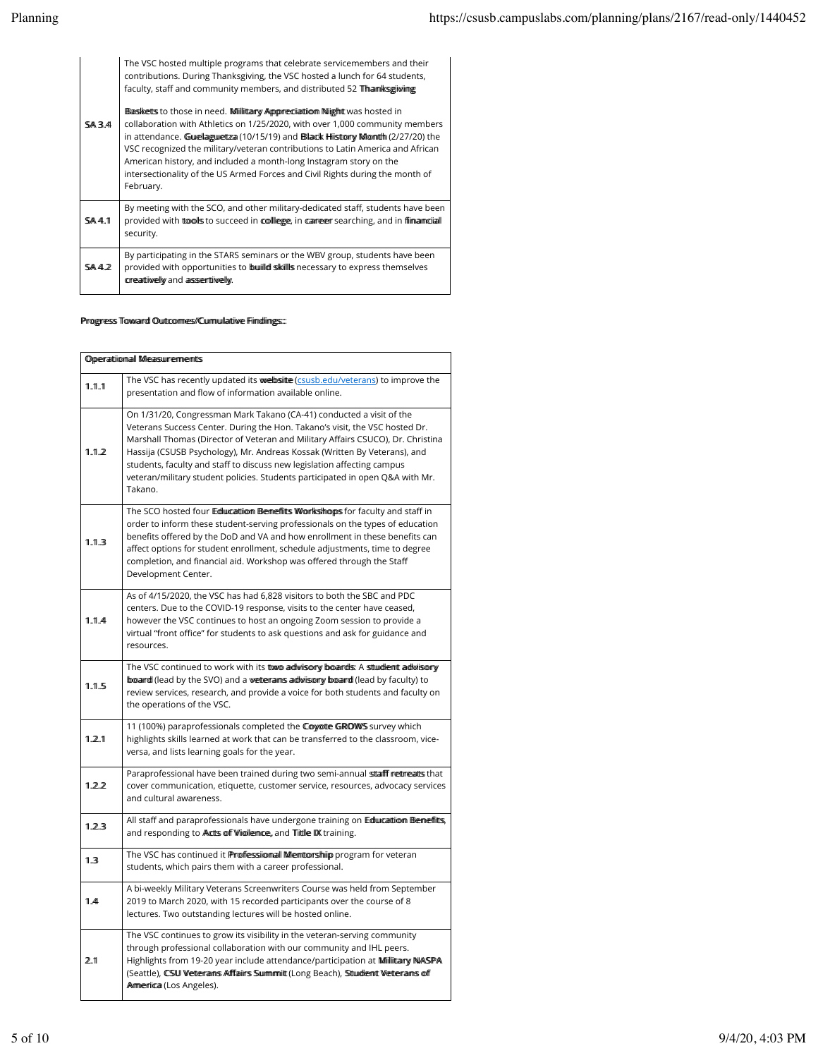| <b>SA34</b>  | The VSC hosted multiple programs that celebrate servicemembers and their<br>contributions. During Thanksgiving, the VSC hosted a lunch for 64 students,<br>faculty, staff and community members, and distributed 52 The antisonium grades<br>Basketts to those in need. Millitary Appreciation Night was hosted in<br>collaboration with Athletics on 1/25/2020, with over 1,000 community members<br>in attendance. Guuellagguuettza (10/15/19) and Bollanck Hilistrony Milomith (2/27/20) the<br>VSC recognized the military/veteran contributions to Latin America and African<br>American history, and included a month-long Instagram story on the<br>intersectionality of the US Armed Forces and Civil Rights during the month of<br>February. |
|--------------|-------------------------------------------------------------------------------------------------------------------------------------------------------------------------------------------------------------------------------------------------------------------------------------------------------------------------------------------------------------------------------------------------------------------------------------------------------------------------------------------------------------------------------------------------------------------------------------------------------------------------------------------------------------------------------------------------------------------------------------------------------|
| <b>SA4.1</b> | By meeting with the SCO, and other military-dedicated staff, students have been<br>provided with tools to succeed in collegge, in carreger searching, and in filmannicial<br>security.                                                                                                                                                                                                                                                                                                                                                                                                                                                                                                                                                                |
| SA42         | By participating in the STARS seminars or the WBV group, students have been<br>provided with opportunities to builled skills necessary to express themselves<br>creattiwelly and asserttiwelly.                                                                                                                                                                                                                                                                                                                                                                                                                                                                                                                                                       |

## Prroggress Towwaardd Ouuttcommes//Cuummuullaattiivee Fiimdiinngss:::

| Operattional Measurements |                                                                                                                                                                                                                                                                                                                                                                                                                                                                                            |  |  |  |
|---------------------------|--------------------------------------------------------------------------------------------------------------------------------------------------------------------------------------------------------------------------------------------------------------------------------------------------------------------------------------------------------------------------------------------------------------------------------------------------------------------------------------------|--|--|--|
| 1.1.1                     | The VSC has recently updated its wwebsitte (csusb.edu/veterans) to improve the<br>presentation and flow of information available online.                                                                                                                                                                                                                                                                                                                                                   |  |  |  |
| 1.1.2                     | On 1/31/20, Congressman Mark Takano (CA-41) conducted a visit of the<br>Veterans Success Center. During the Hon. Takano's visit, the VSC hosted Dr.<br>Marshall Thomas (Director of Veteran and Military Affairs CSUCO), Dr. Christina<br>Hassija (CSUSB Psychology), Mr. Andreas Kossak (Written By Veterans), and<br>students, faculty and staff to discuss new legislation affecting campus<br>veteran/military student policies. Students participated in open Q&A with Mr.<br>Takano. |  |  |  |
| 1.1.3                     | The SCO hosted four Ediuncation Bemeffitts Workshops for faculty and staff in<br>order to inform these student-serving professionals on the types of education<br>benefits offered by the DoD and VA and how enrollment in these benefits can<br>affect options for student enrollment, schedule adjustments, time to degree<br>completion, and financial aid. Workshop was offered through the Staff<br>Development Center.                                                               |  |  |  |
| 1.1.4                     | As of 4/15/2020, the VSC has had 6,828 visitors to both the SBC and PDC<br>centers. Due to the COVID-19 response, visits to the center have ceased,<br>however the VSC continues to host an ongoing Zoom session to provide a<br>virtual "front office" for students to ask questions and ask for guidance and<br>resources.                                                                                                                                                               |  |  |  |
| 1.1.5                     | The VSC continued to work with its ttwo adivisory boards: A stuident adivisory<br>board (lead by the SVO) and a wetter ams adwisory board (lead by faculty) to<br>review services, research, and provide a voice for both students and faculty on<br>the operations of the VSC.                                                                                                                                                                                                            |  |  |  |
| 1.2.1                     | 11 (100%) paraprofessionals completed the Coyote GROWS survey which<br>highlights skills learned at work that can be transferred to the classroom, vice-<br>versa, and lists learning goals for the year.                                                                                                                                                                                                                                                                                  |  |  |  |
| 1.2.2                     | Paraprofessional have been trained during two semi-annual stafff retreats that<br>cover communication, etiquette, customer service, resources, advocacy services<br>and cultural awareness.                                                                                                                                                                                                                                                                                                |  |  |  |
| 1.2.3                     | All staff and paraprofessionals have undergone training on Education Benefitts,<br>and responding to Actts off Wiollemce, and Tittle IX training.                                                                                                                                                                                                                                                                                                                                          |  |  |  |
| 1.3                       | The VSC has continued it Professional Mentorship program for veteran<br>students, which pairs them with a career professional.                                                                                                                                                                                                                                                                                                                                                             |  |  |  |
| 1.4                       | A bi-weekly Military Veterans Screenwriters Course was held from September<br>2019 to March 2020, with 15 recorded participants over the course of 8<br>lectures. Two outstanding lectures will be hosted online.                                                                                                                                                                                                                                                                          |  |  |  |
| 2.1                       | The VSC continues to grow its visibility in the veteran-serving community<br>through professional collaboration with our community and IHL peers.<br>Highlights from 19-20 year include attendance/participation at Miillittary NASPA<br>(Seattle), CSW Wetteraims Afffaiirs Summimit (Long Beach), Stuidemt Wetteraims of<br>Armerrica (Los Angeles).                                                                                                                                     |  |  |  |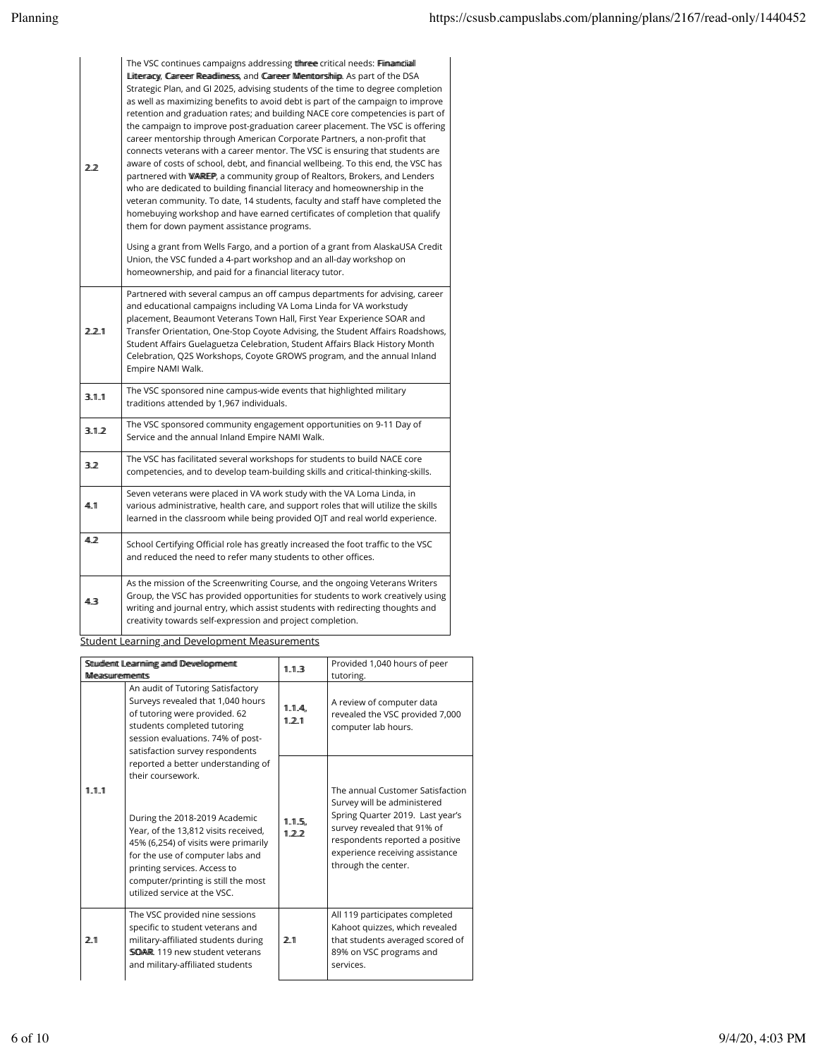| 22    | The VSC continues campaigns addressing the metrical needs: Filmannicial<br>Litteracy, Career Readlimess, and Career Mentorship. As part of the DSA<br>Strategic Plan, and GI 2025, advising students of the time to degree completion<br>as well as maximizing benefits to avoid debt is part of the campaign to improve<br>retention and graduation rates; and building NACE core competencies is part of<br>the campaign to improve post-graduation career placement. The VSC is offering<br>career mentorship through American Corporate Partners, a non-profit that<br>connects veterans with a career mentor. The VSC is ensuring that students are<br>aware of costs of school, debt, and financial wellbeing. To this end, the VSC has<br>partnered with WAREP, a community group of Realtors, Brokers, and Lenders<br>who are dedicated to building financial literacy and homeownership in the<br>veteran community. To date, 14 students, faculty and staff have completed the<br>homebuying workshop and have earned certificates of completion that qualify<br>them for down payment assistance programs.<br>Using a grant from Wells Fargo, and a portion of a grant from AlaskaUSA Credit<br>Union, the VSC funded a 4-part workshop and an all-day workshop on<br>homeownership, and paid for a financial literacy tutor. |
|-------|------------------------------------------------------------------------------------------------------------------------------------------------------------------------------------------------------------------------------------------------------------------------------------------------------------------------------------------------------------------------------------------------------------------------------------------------------------------------------------------------------------------------------------------------------------------------------------------------------------------------------------------------------------------------------------------------------------------------------------------------------------------------------------------------------------------------------------------------------------------------------------------------------------------------------------------------------------------------------------------------------------------------------------------------------------------------------------------------------------------------------------------------------------------------------------------------------------------------------------------------------------------------------------------------------------------------------------------|
| 2.2.1 | Partnered with several campus an off campus departments for advising, career<br>and educational campaigns including VA Loma Linda for VA workstudy<br>placement, Beaumont Veterans Town Hall, First Year Experience SOAR and<br>Transfer Orientation, One-Stop Coyote Advising, the Student Affairs Roadshows,<br>Student Affairs Guelaguetza Celebration, Student Affairs Black History Month<br>Celebration, Q2S Workshops, Coyote GROWS program, and the annual Inland<br>Empire NAMI Walk.                                                                                                                                                                                                                                                                                                                                                                                                                                                                                                                                                                                                                                                                                                                                                                                                                                           |
| 3.1.1 | The VSC sponsored nine campus-wide events that highlighted military<br>traditions attended by 1,967 individuals.                                                                                                                                                                                                                                                                                                                                                                                                                                                                                                                                                                                                                                                                                                                                                                                                                                                                                                                                                                                                                                                                                                                                                                                                                         |
| 3.1.2 | The VSC sponsored community engagement opportunities on 9-11 Day of<br>Service and the annual Inland Empire NAMI Walk.                                                                                                                                                                                                                                                                                                                                                                                                                                                                                                                                                                                                                                                                                                                                                                                                                                                                                                                                                                                                                                                                                                                                                                                                                   |
| 3.2   | The VSC has facilitated several workshops for students to build NACE core<br>competencies, and to develop team-building skills and critical-thinking-skills.                                                                                                                                                                                                                                                                                                                                                                                                                                                                                                                                                                                                                                                                                                                                                                                                                                                                                                                                                                                                                                                                                                                                                                             |
| 44.1  | Seven veterans were placed in VA work study with the VA Loma Linda, in<br>various administrative, health care, and support roles that will utilize the skills<br>learned in the classroom while being provided OJT and real world experience.                                                                                                                                                                                                                                                                                                                                                                                                                                                                                                                                                                                                                                                                                                                                                                                                                                                                                                                                                                                                                                                                                            |
| 4.2   | School Certifying Official role has greatly increased the foot traffic to the VSC<br>and reduced the need to refer many students to other offices.                                                                                                                                                                                                                                                                                                                                                                                                                                                                                                                                                                                                                                                                                                                                                                                                                                                                                                                                                                                                                                                                                                                                                                                       |
| 4.3   | As the mission of the Screenwriting Course, and the ongoing Veterans Writers<br>Group, the VSC has provided opportunities for students to work creatively using<br>writing and journal entry, which assist students with redirecting thoughts and<br>creativity towards self-expression and project completion.                                                                                                                                                                                                                                                                                                                                                                                                                                                                                                                                                                                                                                                                                                                                                                                                                                                                                                                                                                                                                          |

Student Learning and Development Measurements

| Stundlemt Learmiimg and Devellopmemt<br><b>Measurements</b> |                                                                                                                                                                                                                                                                                                                                                                                                                                                                                                                                      | 1.1.3           | Provided 1,040 hours of peer<br>tutoring.                                                                                                                                                                                       |
|-------------------------------------------------------------|--------------------------------------------------------------------------------------------------------------------------------------------------------------------------------------------------------------------------------------------------------------------------------------------------------------------------------------------------------------------------------------------------------------------------------------------------------------------------------------------------------------------------------------|-----------------|---------------------------------------------------------------------------------------------------------------------------------------------------------------------------------------------------------------------------------|
|                                                             | An audit of Tutoring Satisfactory<br>Surveys revealed that 1,040 hours<br>of tutoring were provided. 62<br>students completed tutoring<br>session evaluations. 74% of post-<br>satisfaction survey respondents<br>reported a better understanding of<br>their coursework<br>During the 2018-2019 Academic<br>Year, of the 13,812 visits received,<br>45% (6,254) of visits were primarily<br>for the use of computer labs and<br>printing services. Access to<br>computer/printing is still the most<br>utilized service at the VSC. | 1.1.4.<br>1.2.1 | A review of computer data<br>revealed the VSC provided 7,000<br>computer lab hours.                                                                                                                                             |
| 11 11 11                                                    |                                                                                                                                                                                                                                                                                                                                                                                                                                                                                                                                      | 1.1.5.<br>122   | The annual Customer Satisfaction<br>Survey will be administered<br>Spring Quarter 2019. Last year's<br>survey revealed that 91% of<br>respondents reported a positive<br>experience receiving assistance<br>through the center. |
| 2.1                                                         | The VSC provided nine sessions<br>specific to student veterans and<br>military-affiliated students during<br>SOAR 119 new student veterans<br>and military-affiliated students                                                                                                                                                                                                                                                                                                                                                       | 2.1             | All 119 participates completed<br>Kahoot quizzes, which revealed<br>that students averaged scored of<br>89% on VSC programs and<br>services.                                                                                    |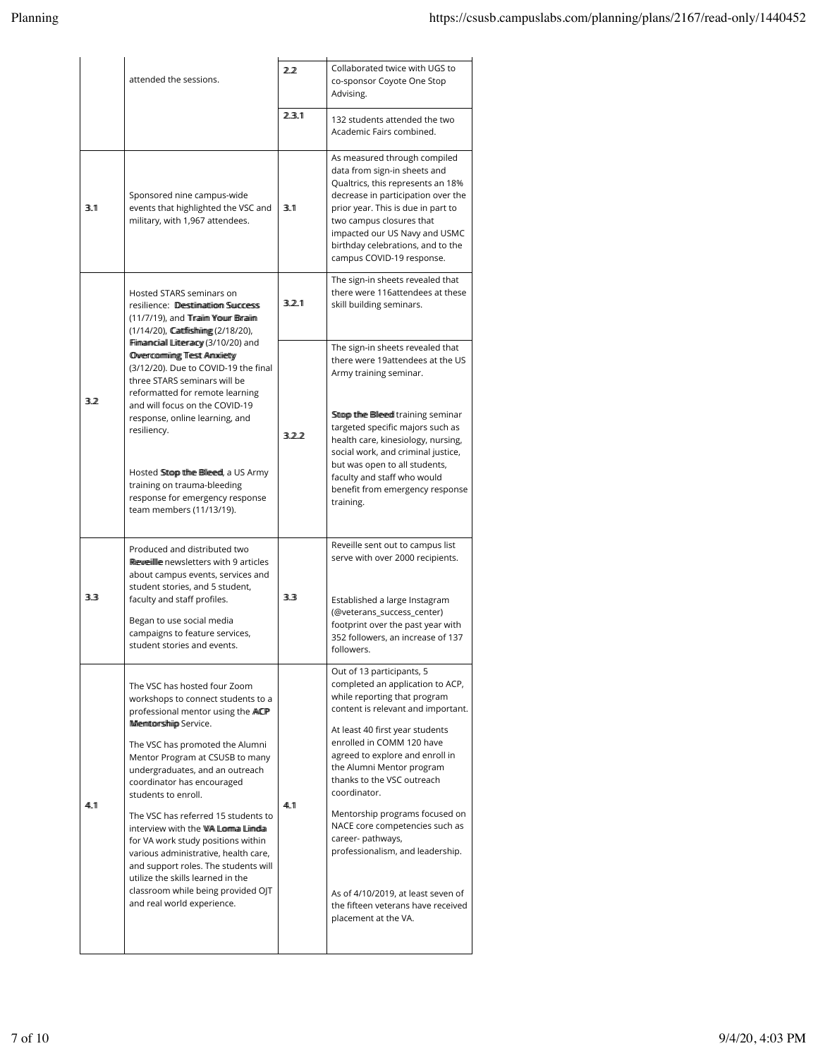|       | attended the sessions.                                                                                                                                                                                                                                                                                                                                        | 22    | Collaborated twice with UGS to<br>co-sponsor Coyote One Stop<br>Advising.                                                                                                                                                                                                                                    |
|-------|---------------------------------------------------------------------------------------------------------------------------------------------------------------------------------------------------------------------------------------------------------------------------------------------------------------------------------------------------------------|-------|--------------------------------------------------------------------------------------------------------------------------------------------------------------------------------------------------------------------------------------------------------------------------------------------------------------|
|       |                                                                                                                                                                                                                                                                                                                                                               | 2.3.1 | 132 students attended the two<br>Academic Fairs combined.                                                                                                                                                                                                                                                    |
| 3.1   | Sponsored nine campus-wide<br>events that highlighted the VSC and<br>military, with 1,967 attendees.                                                                                                                                                                                                                                                          | 3.1   | As measured through compiled<br>data from sign-in sheets and<br>Qualtrics, this represents an 18%<br>decrease in participation over the<br>prior year. This is due in part to<br>two campus closures that<br>impacted our US Navy and USMC<br>birthday celebrations, and to the<br>campus COVID-19 response. |
|       | Hosted STARS seminars on<br>resilience: Destiimatiiom Success<br>(11/7/19), and Tiraiim Your Braiim<br>(1/14/20), Cattflishiimg (2/18/20),                                                                                                                                                                                                                    | 3.2.1 | The sign-in sheets revealed that<br>there were 116attendees at these<br>skill building seminars.                                                                                                                                                                                                             |
| 3.2   | Filmamciall Litteracy (3/10/20) and<br><b>Overcormiing Test Anxiety</b><br>(3/12/20). Due to COVID-19 the final<br>three STARS seminars will be<br>reformatted for remote learning<br>and will focus on the COVID-19<br>response, online learning, and<br>resiliency.                                                                                         |       | The sign-in sheets revealed that<br>there were 19attendees at the US<br>Army training seminar.                                                                                                                                                                                                               |
|       |                                                                                                                                                                                                                                                                                                                                                               | 3.2.2 | Sttop the Bleed training seminar<br>targeted specific majors such as<br>health care, kinesiology, nursing,<br>social work, and criminal justice,<br>but was open to all students,                                                                                                                            |
|       | Hosted Sttop the Bleed, a US Army<br>training on trauma-bleeding<br>response for emergency response<br>team members (11/13/19).                                                                                                                                                                                                                               |       | faculty and staff who would<br>benefit from emergency response<br>training.                                                                                                                                                                                                                                  |
|       | Produced and distributed two<br>Reweille newsletters with 9 articles<br>about campus events, services and<br>student stories, and 5 student,                                                                                                                                                                                                                  |       | Reveille sent out to campus list<br>serve with over 2000 recipients.                                                                                                                                                                                                                                         |
| 3.3   | faculty and staff profiles.<br>Began to use social media<br>campaigns to feature services,<br>student stories and events.                                                                                                                                                                                                                                     | 3.3   | Established a large Instagram<br>(@veterans_success_center)<br>footprint over the past year with<br>352 followers, an increase of 137<br>followers.                                                                                                                                                          |
|       | The VSC has hosted four Zoom<br>workshops to connect students to a<br>professional mentor using the ACP<br>Memtorship Service.                                                                                                                                                                                                                                |       | Out of 13 participants, 5<br>completed an application to ACP,<br>while reporting that program<br>content is relevant and important.                                                                                                                                                                          |
|       | The VSC has promoted the Alumni<br>Mentor Program at CSUSB to many<br>undergraduates, and an outreach<br>coordinator has encouraged<br>students to enroll.<br>The VSC has referred 15 students to<br>interview with the WA Lomma Limdia<br>for VA work study positions within<br>various administrative, health care,<br>and support roles. The students will |       | At least 40 first year students<br>enrolled in COMM 120 have<br>agreed to explore and enroll in<br>the Alumni Mentor program<br>thanks to the VSC outreach<br>coordinator.                                                                                                                                   |
| 44.11 |                                                                                                                                                                                                                                                                                                                                                               | 44.11 | Mentorship programs focused on<br>NACE core competencies such as<br>career- pathways,<br>professionalism, and leadership.                                                                                                                                                                                    |
|       | utilize the skills learned in the<br>classroom while being provided OJT<br>and real world experience.                                                                                                                                                                                                                                                         |       | As of 4/10/2019, at least seven of<br>the fifteen veterans have received<br>placement at the VA.                                                                                                                                                                                                             |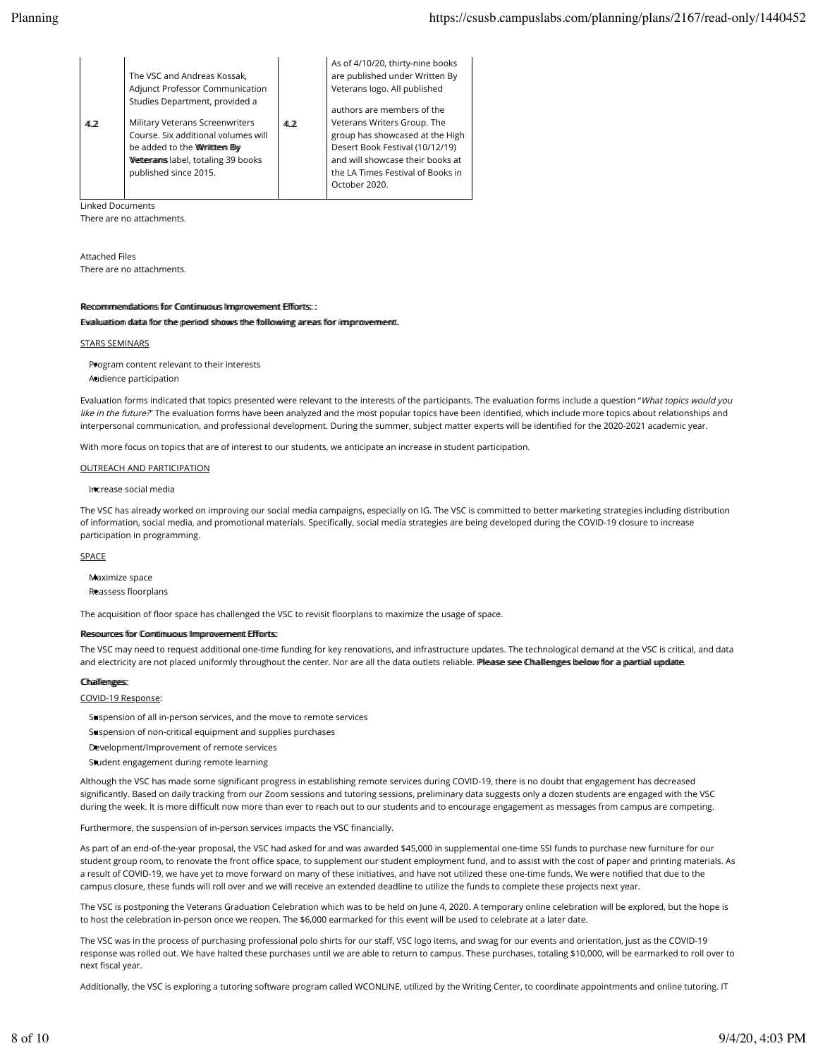| The VSC and Andreas Kossak,<br>Adjunct Professor Communication<br>Studies Department, provided a<br>Military Veterans Screenwriters<br>41.2<br>Course. Six additional volumes will<br>be added to the Wirittern By<br>Wetterraims label, totaling 39 books<br>published since 2015. | 4.2 | As of 4/10/20, thirty-nine books<br>are published under Written By<br>Veterans logo. All published<br>authors are members of the<br>Veterans Writers Group. The<br>group has showcased at the High<br>Desert Book Festival (10/12/19)<br>and will showcase their books at<br>the LA Times Festival of Books in<br>October 2020. |
|-------------------------------------------------------------------------------------------------------------------------------------------------------------------------------------------------------------------------------------------------------------------------------------|-----|---------------------------------------------------------------------------------------------------------------------------------------------------------------------------------------------------------------------------------------------------------------------------------------------------------------------------------|
|-------------------------------------------------------------------------------------------------------------------------------------------------------------------------------------------------------------------------------------------------------------------------------------|-----|---------------------------------------------------------------------------------------------------------------------------------------------------------------------------------------------------------------------------------------------------------------------------------------------------------------------------------|

Linked Documents

There are no attachments.

Attached Files There are no attachments.

### Reccommimeendlattionns ffor Connttiinuuouus IImmprrowermeennt Effforts:: ::

Evalluuattioom dlatta ffoor tthee peerriood sthoows tthee follloowiing arreass ffoor iimmprroovermeent.

#### STARS SEMINARS

Pogram content relevant to their interests Audience participation

Evaluation forms indicated that topics presented were relevant to the interests of the participants. The evaluation forms include a question "What topics would you like in the future?" The evaluation forms have been analyzed and the most popular topics have been identified, which include more topics about relationships and interpersonal communication, and professional development. During the summer, subject matter experts will be identified for the 2020-2021 academic year.

With more focus on topics that are of interest to our students, we anticipate an increase in student participation.

#### OUTREACH AND PARTICIPATION

Increase social media

The VSC has already worked on improving our social media campaigns, especially on IG. The VSC is committed to better marketing strategies including distribution of information, social media, and promotional materials. Specifically, social media strategies are being developed during the COVID-19 closure to increase participation in programming.

#### SPACE

Maximize space Reassess floorplans

The acquisition of floor space has challenged the VSC to revisit floorplans to maximize the usage of space.

#### Ressouurces ffor Comtiimuuouus IImmprovvermeent Effforts:

The VSC may need to request additional one-time funding for key renovations, and infrastructure updates. The technological demand at the VSC is critical, and data and electricity are not placed uniformly throughout the center. Nor are all the data outlets reliable. Please see Challlenges bellow for a partiiall uupdatte.

## Challlempes:

COVID-19 Response:

- Suspension of all in-person services, and the move to remote services
- Suspension of non-critical equipment and supplies purchases
- Development/Improvement of remote services
- Student engagement during remote learning

Although the VSC has made some significant progress in establishing remote services during COVID-19, there is no doubt that engagement has decreased significantly. Based on daily tracking from our Zoom sessions and tutoring sessions, preliminary data suggests only a dozen students are engaged with the VSC during the week. It is more difficult now more than ever to reach out to our students and to encourage engagement as messages from campus are competing.

Furthermore, the suspension of in-person services impacts the VSC financially.

As part of an end-of-the-year proposal, the VSC had asked for and was awarded \$45,000 in supplemental one-time SSI funds to purchase new furniture for our student group room, to renovate the front office space, to supplement our student employment fund, and to assist with the cost of paper and printing materials. As a result of COVID-19, we have yet to move forward on many of these initiatives, and have not utilized these one-time funds. We were notified that due to the campus closure, these funds will roll over and we will receive an extended deadline to utilize the funds to complete these projects next year.

The VSC is postponing the Veterans Graduation Celebration which was to be held on June 4, 2020. A temporary online celebration will be explored, but the hope is to host the celebration in-person once we reopen. The \$6,000 earmarked for this event will be used to celebrate at a later date.

The VSC was in the process of purchasing professional polo shirts for our staff, VSC logo items, and swag for our events and orientation, just as the COVID-19 response was rolled out. We have halted these purchases until we are able to return to campus. These purchases, totaling \$10,000, will be earmarked to roll over to next fiscal year.

Additionally, the VSC is exploring a tutoring software program called WCONLINE, utilized by the Writing Center, to coordinate appointments and online tutoring. IT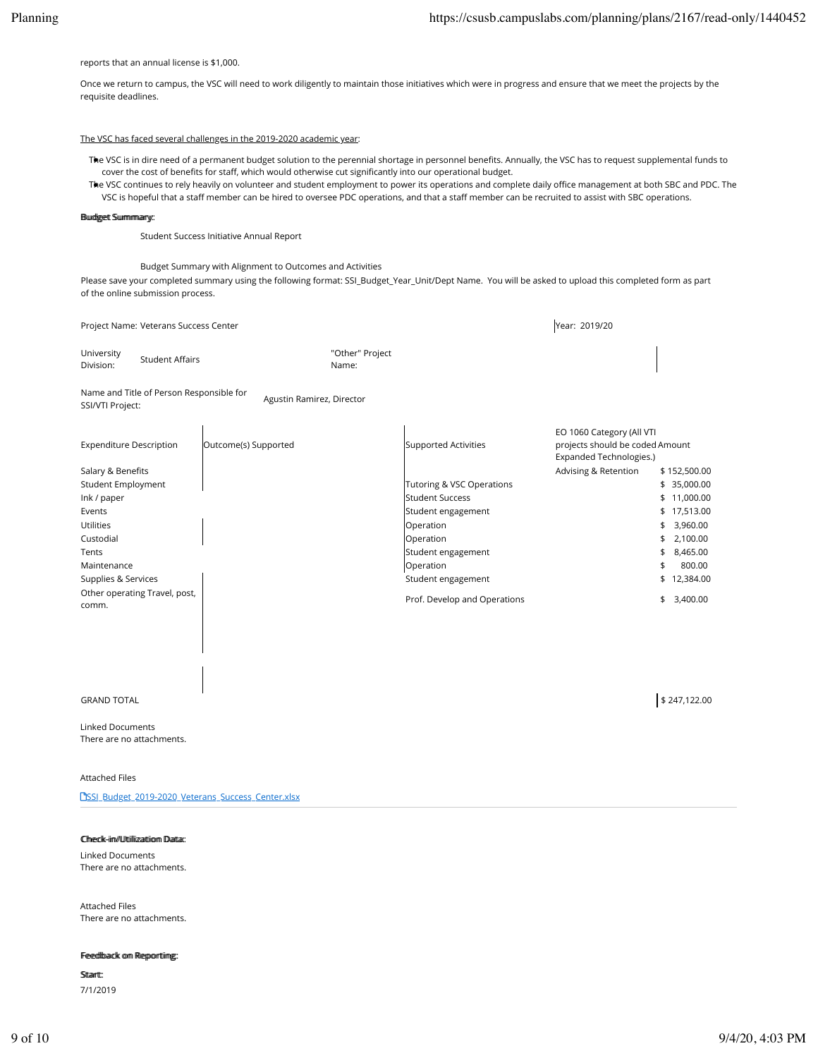reports that an annual license is \$1,000.

Once we return to campus, the VSC will need to work diligently to maintain those initiatives which were in progress and ensure that we meet the projects by the requisite deadlines.

## The VSC has faced several challenges in the 2019-2020 academic year:

The VSC is in dire need of a permanent budget solution to the perennial shortage in personnel benefits. Annually, the VSC has to request supplemental funds to cover the cost of benefits for staff, which would otherwise cut significantly into our operational budget.

The VSC continues to rely heavily on volunteer and student employment to power its operations and complete daily office management at both SBC and PDC. The VSC is hopeful that a staff member can be hired to oversee PDC operations, and that a staff member can be recruited to assist with SBC operations.

### **Buudigeett Suummmaary:**

Student Success Initiative Annual Report

Budget Summary with Alignment to Outcomes and Activities

Please save your completed summary using the following format: SSI\_Budget\_Year\_Unit/Dept Name. You will be asked to upload this completed form as part of the online submission process.

|                                | Project Name: Veterans Success Center    |                           |                          |                              | Year: 2019/20                                                                           |              |           |
|--------------------------------|------------------------------------------|---------------------------|--------------------------|------------------------------|-----------------------------------------------------------------------------------------|--------------|-----------|
| University<br>Division:        | <b>Student Affairs</b>                   |                           | "Other" Project<br>Name: |                              |                                                                                         |              |           |
| <b>SSI/VTI Project:</b>        | Name and Title of Person Responsible for | Agustin Ramirez, Director |                          |                              |                                                                                         |              |           |
| <b>Expenditure Description</b> |                                          | Outcome(s) Supported      |                          | Supported Activities         | EO 1060 Category (All VTI<br>projects should be coded Amount<br>Expanded Technologies.) |              |           |
| Salary & Benefits              |                                          |                           |                          |                              | Advising & Retention                                                                    | \$152,500.00 |           |
| <b>Student Employment</b>      |                                          |                           |                          | Tutoring & VSC Operations    |                                                                                         | \$ 35,000.00 |           |
| Ink / paper                    |                                          |                           |                          | <b>Student Success</b>       |                                                                                         | \$           | 11,000.00 |
| Events                         |                                          |                           |                          | Student engagement           |                                                                                         | \$           | 17,513.00 |
| <b>Utilities</b>               |                                          |                           |                          | Operation                    |                                                                                         | \$           | 3,960.00  |
| Custodial                      |                                          |                           |                          | Operation                    |                                                                                         | \$           | 2,100.00  |
| Tents                          |                                          |                           |                          | Student engagement           |                                                                                         | \$           | 8,465.00  |
| Maintenance                    |                                          |                           |                          | Operation                    |                                                                                         | \$           | 800.00    |
| Supplies & Services            |                                          |                           |                          | Student engagement           |                                                                                         | \$           | 12,384.00 |
| comm.                          | Other operating Travel, post,            |                           |                          | Prof. Develop and Operations |                                                                                         | \$           | 3,400.00  |
|                                |                                          |                           |                          |                              |                                                                                         |              |           |
|                                |                                          |                           |                          |                              |                                                                                         |              |           |

 $\text{GRAND}$  TOTAL  $\text{\$}$  247,122.00

Linked Documents There are no attachments.

## Attached Files

**PSSI\_Budget\_2019-2020\_Veterans\_Success\_Center.xlsx** 

### Chheck-iin//Uttiiliizattiiom Datta:

Linked Documents There are no attachments.

Attached Files There are no attachments.

### Feedlback om Reporttiing:

Sttartt: 7/1/2019